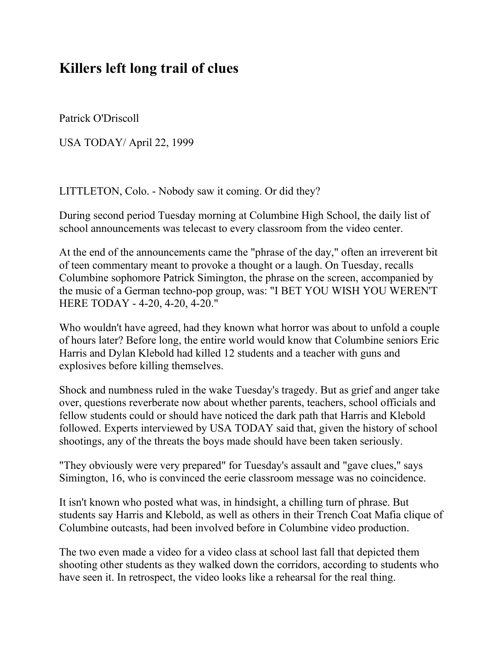## **Killers left long trail of clues**

Patrick O'Driscoll

USA TODAY/ April 22, 1999

LITTLETON, Colo. - Nobody saw it coming. Or did they?

During second period Tuesday morning at Columbine High School, the daily list of school announcements was telecast to every classroom from the video center.

At the end of the announcements came the "phrase of the day," often an irreverent bit of teen commentary meant to provoke a thought or a laugh. On Tuesday, recalls Columbine sophomore Patrick Simington, the phrase on the screen, accompanied by the music of a German techno-pop group, was: "I BET YOU WISH YOU WEREN'T HERE TODAY - 4-20, 4-20, 4-20."

Who wouldn't have agreed, had they known what horror was about to unfold a couple of hours later? Before long, the entire world would know that Columbine seniors Eric Harris and Dylan Klebold had killed 12 students and a teacher with guns and explosives before killing themselves.

Shock and numbness ruled in the wake Tuesday's tragedy. But as grief and anger take over, questions reverberate now about whether parents, teachers, school officials and fellow students could or should have noticed the dark path that Harris and Klebold followed. Experts interviewed by USA TODAY said that, given the history of school shootings, any of the threats the boys made should have been taken seriously.

"They obviously were very prepared" for Tuesday's assault and "gave clues," says Simington, 16, who is convinced the eerie classroom message was no coincidence.

It isn't known who posted what was, in hindsight, a chilling turn of phrase. But students say Harris and Klebold, as well as others in their Trench Coat Mafia clique of Columbine outcasts, had been involved before in Columbine video production.

The two even made a video for a video class at school last fall that depicted them shooting other students as they walked down the corridors, according to students who have seen it. In retrospect, the video looks like a rehearsal for the real thing.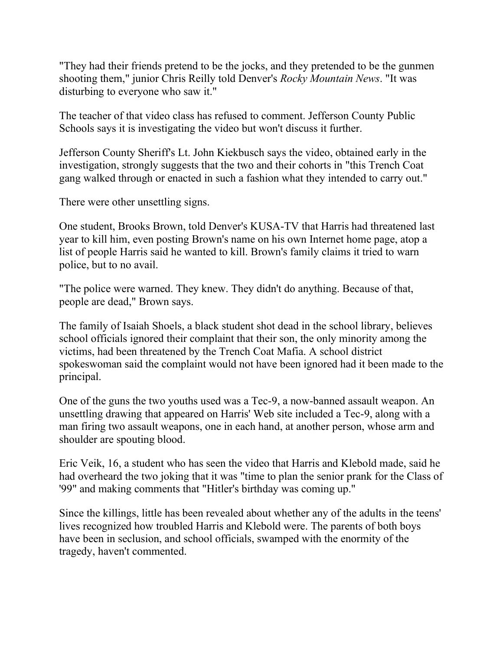"They had their friends pretend to be the jocks, and they pretended to be the gunmen shooting them," junior Chris Reilly told Denver's *Rocky Mountain News*. "It was disturbing to everyone who saw it."

The teacher of that video class has refused to comment. Jefferson County Public Schools says it is investigating the video but won't discuss it further.

Jefferson County Sheriff's Lt. John Kiekbusch says the video, obtained early in the investigation, strongly suggests that the two and their cohorts in "this Trench Coat gang walked through or enacted in such a fashion what they intended to carry out."

There were other unsettling signs.

One student, Brooks Brown, told Denver's KUSA-TV that Harris had threatened last year to kill him, even posting Brown's name on his own Internet home page, atop a list of people Harris said he wanted to kill. Brown's family claims it tried to warn police, but to no avail.

"The police were warned. They knew. They didn't do anything. Because of that, people are dead," Brown says.

The family of Isaiah Shoels, a black student shot dead in the school library, believes school officials ignored their complaint that their son, the only minority among the victims, had been threatened by the Trench Coat Mafia. A school district spokeswoman said the complaint would not have been ignored had it been made to the principal.

One of the guns the two youths used was a Tec-9, a now-banned assault weapon. An unsettling drawing that appeared on Harris' Web site included a Tec-9, along with a man firing two assault weapons, one in each hand, at another person, whose arm and shoulder are spouting blood.

Eric Veik, 16, a student who has seen the video that Harris and Klebold made, said he had overheard the two joking that it was "time to plan the senior prank for the Class of '99" and making comments that "Hitler's birthday was coming up."

Since the killings, little has been revealed about whether any of the adults in the teens' lives recognized how troubled Harris and Klebold were. The parents of both boys have been in seclusion, and school officials, swamped with the enormity of the tragedy, haven't commented.